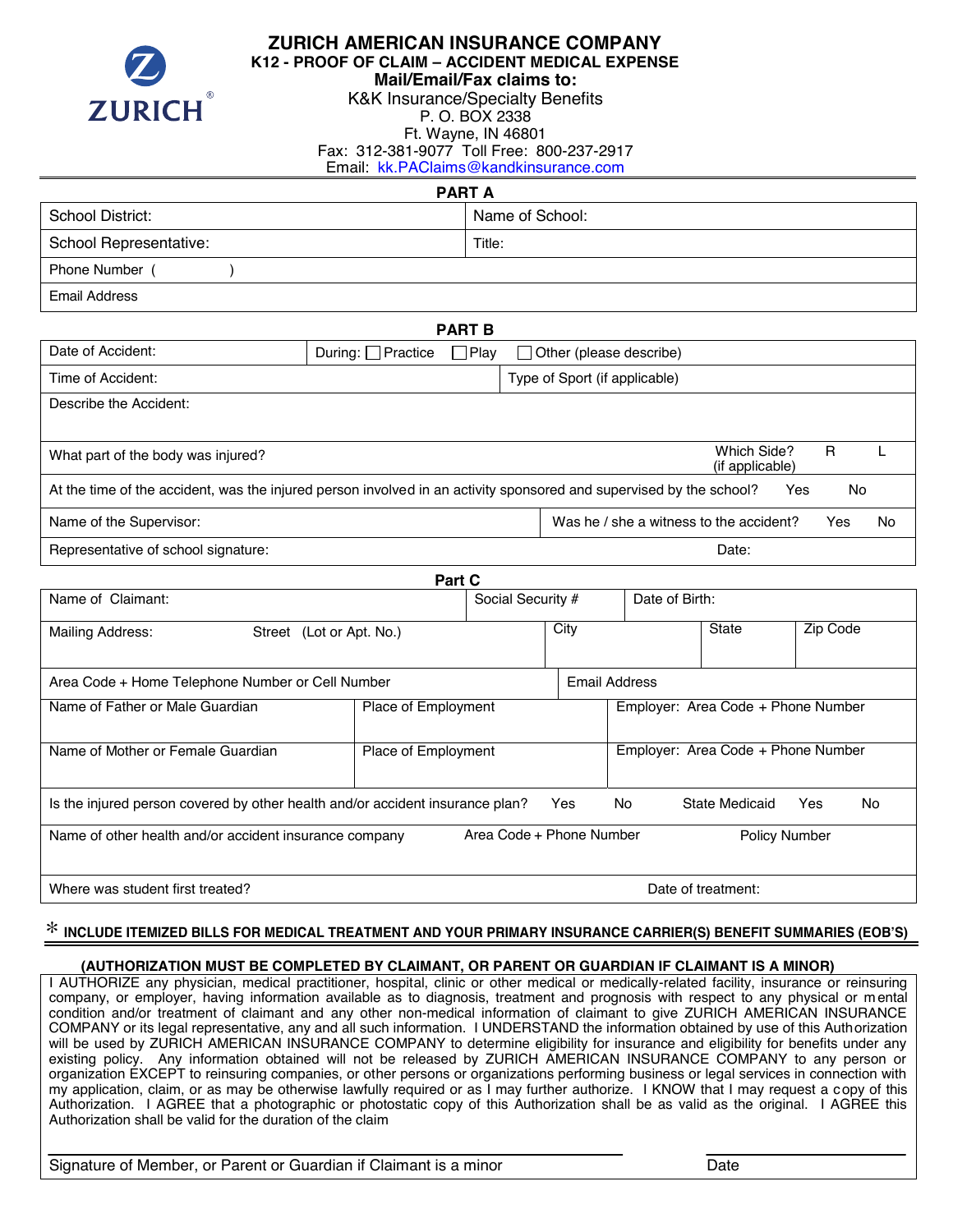

## **ZURICH AMERICAN INSURANCE COMPANY**

**K12 - PROOF OF CLAIM – ACCIDENT MEDICAL EXPENSE** 

**Mail/Email/Fax claims to:** 

K&K Insurance/Specialty Benefits

P. O. BOX 2338 Ft. Wayne, IN 46801

Fax: 312-381-9077 Toll Free: 800-237-2917

Email: kk.PAClaims@kandkinsurance.com

| <b>PART A</b>           |                 |  |  |  |
|-------------------------|-----------------|--|--|--|
| <b>School District:</b> | Name of School: |  |  |  |
| School Representative:  | Title:          |  |  |  |
| Phone Number (          |                 |  |  |  |
| Email Address           |                 |  |  |  |

#### **PART B**

| Date of Accident:                                                                                                                | During: $\Box$ Practice | $\Box$ Play |  | Other (please describe)                 |                                |  |     |    |
|----------------------------------------------------------------------------------------------------------------------------------|-------------------------|-------------|--|-----------------------------------------|--------------------------------|--|-----|----|
| Time of Accident:                                                                                                                |                         |             |  | Type of Sport (if applicable)           |                                |  |     |    |
| Describe the Accident:                                                                                                           |                         |             |  |                                         |                                |  |     |    |
|                                                                                                                                  |                         |             |  |                                         |                                |  |     |    |
| What part of the body was injured?                                                                                               |                         |             |  |                                         | Which Side?<br>(if applicable) |  | R   |    |
| At the time of the accident, was the injured person involved in an activity sponsored and supervised by the school?<br>No<br>Yes |                         |             |  |                                         |                                |  |     |    |
| Name of the Supervisor:                                                                                                          |                         |             |  | Was he / she a witness to the accident? |                                |  | Yes | No |
| Representative of school signature:                                                                                              |                         |             |  |                                         | Date:                          |  |     |    |

| Part C                                                                        |                            |                                     |                      |           |                                    |                      |          |    |  |  |
|-------------------------------------------------------------------------------|----------------------------|-------------------------------------|----------------------|-----------|------------------------------------|----------------------|----------|----|--|--|
| Name of Claimant:                                                             |                            | Date of Birth:<br>Social Security # |                      |           |                                    |                      |          |    |  |  |
| Mailing Address:                                                              | Street (Lot or Apt. No.)   |                                     |                      | City      |                                    | <b>State</b>         | Zip Code |    |  |  |
| Area Code + Home Telephone Number or Cell Number                              |                            |                                     | <b>Email Address</b> |           |                                    |                      |          |    |  |  |
| Name of Father or Male Guardian                                               | <b>Place of Employment</b> |                                     |                      |           | Employer: Area Code + Phone Number |                      |          |    |  |  |
| Name of Mother or Female Guardian                                             | <b>Place of Employment</b> |                                     |                      |           | Employer: Area Code + Phone Number |                      |          |    |  |  |
| Is the injured person covered by other health and/or accident insurance plan? |                            |                                     | Yes                  | <b>No</b> |                                    | State Medicaid       | Yes      | No |  |  |
| Name of other health and/or accident insurance company                        |                            | Area Code + Phone Number            |                      |           |                                    | <b>Policy Number</b> |          |    |  |  |
| Where was student first treated?                                              |                            |                                     |                      |           |                                    | Date of treatment:   |          |    |  |  |

# \* **INCLUDE ITEMIZED BILLS FOR MEDICAL TREATMENT AND YOUR PRIMARY INSURANCE CARRIER(S) BENEFIT SUMMARIES (EOB'S)**

### **(AUTHORIZATION MUST BE COMPLETED BY CLAIMANT, OR PARENT OR GUARDIAN IF CLAIMANT IS A MINOR)**

I AUTHORIZE any physician, medical practitioner, hospital, clinic or other medical or medically-related facility, insurance or reinsuring company, or employer, having information available as to diagnosis, treatment and prognosis with respect to any physical or m ental condition and/or treatment of claimant and any other non-medical information of claimant to give ZURICH AMERICAN INSURANCE COMPANY or its legal representative, any and all such information. I UNDERSTAND the information obtained by use of this Authorization will be used by ZURICH AMERICAN INSURANCE COMPANY to determine eligibility for insurance and eligibility for benefits under any existing policy. Any information obtained will not be released by ZURICH AMERICAN INSURANCE COMPANY to any person or organization EXCEPT to reinsuring companies, or other persons or organizations performing business or legal services in connection with my application, claim, or as may be otherwise lawfully required or as I may further authorize. I KNOW that I may request a copy of this Authorization. I AGREE that a photographic or photostatic copy of this Authorization shall be as valid as the original. I AGREE this Authorization shall be valid for the duration of the claim

Signature of Member, or Parent or Guardian if Claimant is a minor **Example 20** Date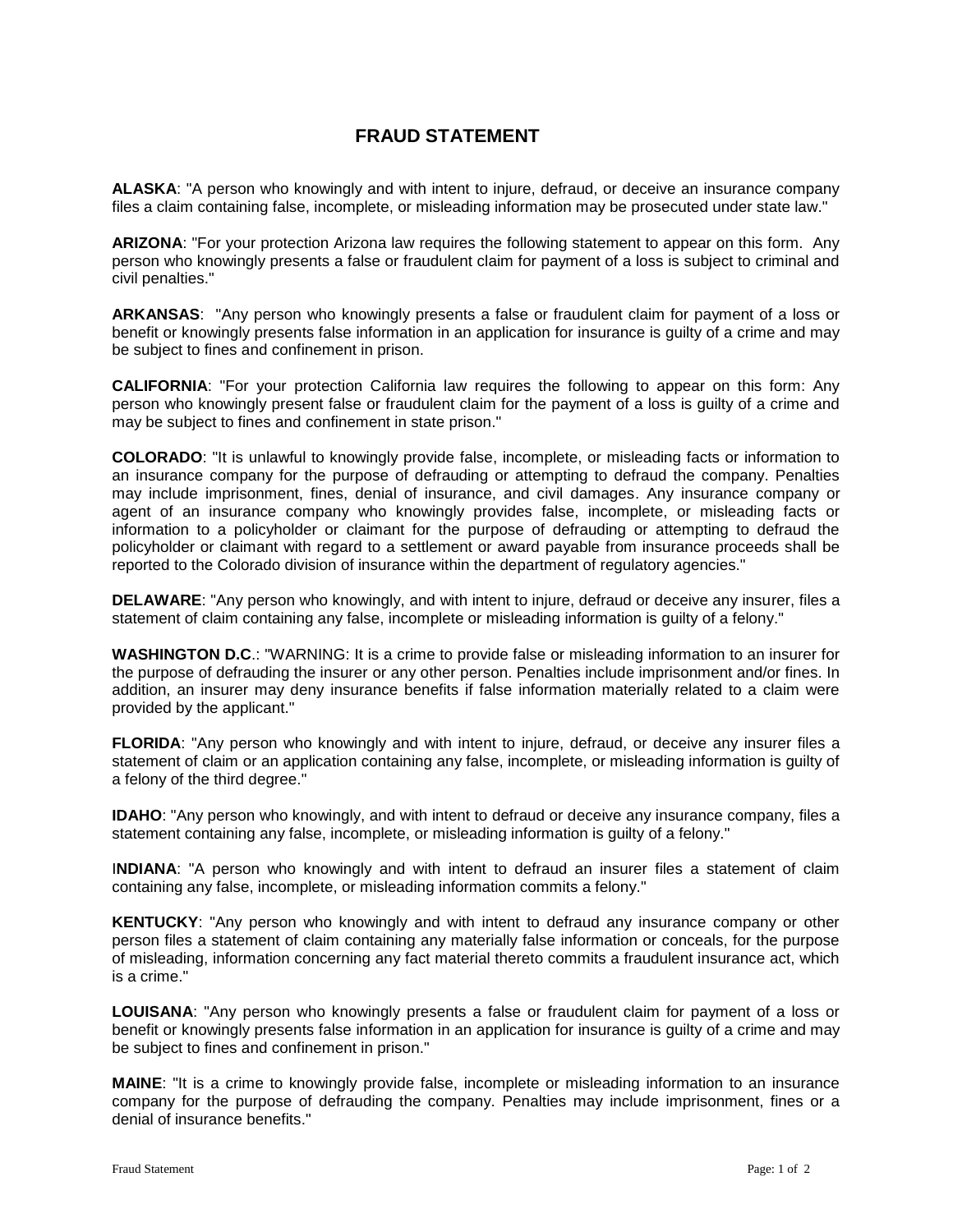### **FRAUD STATEMENT**

**ALASKA**: "A person who knowingly and with intent to injure, defraud, or deceive an insurance company files a claim containing false, incomplete, or misleading information may be prosecuted under state law."

**ARIZONA**: "For your protection Arizona law requires the following statement to appear on this form. Any person who knowingly presents a false or fraudulent claim for payment of a loss is subject to criminal and civil penalties."

**ARKANSAS**: "Any person who knowingly presents a false or fraudulent claim for payment of a loss or benefit or knowingly presents false information in an application for insurance is guilty of a crime and may be subject to fines and confinement in prison.

**CALIFORNIA**: "For your protection California law requires the following to appear on this form: Any person who knowingly present false or fraudulent claim for the payment of a loss is guilty of a crime and may be subject to fines and confinement in state prison."

**COLORADO**: "It is unlawful to knowingly provide false, incomplete, or misleading facts or information to an insurance company for the purpose of defrauding or attempting to defraud the company. Penalties may include imprisonment, fines, denial of insurance, and civil damages. Any insurance company or agent of an insurance company who knowingly provides false, incomplete, or misleading facts or information to a policyholder or claimant for the purpose of defrauding or attempting to defraud the policyholder or claimant with regard to a settlement or award payable from insurance proceeds shall be reported to the Colorado division of insurance within the department of regulatory agencies."

**DELAWARE**: "Any person who knowingly, and with intent to injure, defraud or deceive any insurer, files a statement of claim containing any false, incomplete or misleading information is guilty of a felony."

**WASHINGTON D.C**.: "WARNING: It is a crime to provide false or misleading information to an insurer for the purpose of defrauding the insurer or any other person. Penalties include imprisonment and/or fines. In addition, an insurer may deny insurance benefits if false information materially related to a claim were provided by the applicant."

**FLORIDA**: "Any person who knowingly and with intent to injure, defraud, or deceive any insurer files a statement of claim or an application containing any false, incomplete, or misleading information is guilty of a felony of the third degree."

**IDAHO**: "Any person who knowingly, and with intent to defraud or deceive any insurance company, files a statement containing any false, incomplete, or misleading information is guilty of a felony."

I**NDIANA**: "A person who knowingly and with intent to defraud an insurer files a statement of claim containing any false, incomplete, or misleading information commits a felony."

**KENTUCKY**: "Any person who knowingly and with intent to defraud any insurance company or other person files a statement of claim containing any materially false information or conceals, for the purpose of misleading, information concerning any fact material thereto commits a fraudulent insurance act, which is a crime."

**LOUISANA**: "Any person who knowingly presents a false or fraudulent claim for payment of a loss or benefit or knowingly presents false information in an application for insurance is guilty of a crime and may be subject to fines and confinement in prison."

**MAINE**: "It is a crime to knowingly provide false, incomplete or misleading information to an insurance company for the purpose of defrauding the company. Penalties may include imprisonment, fines or a denial of insurance benefits."